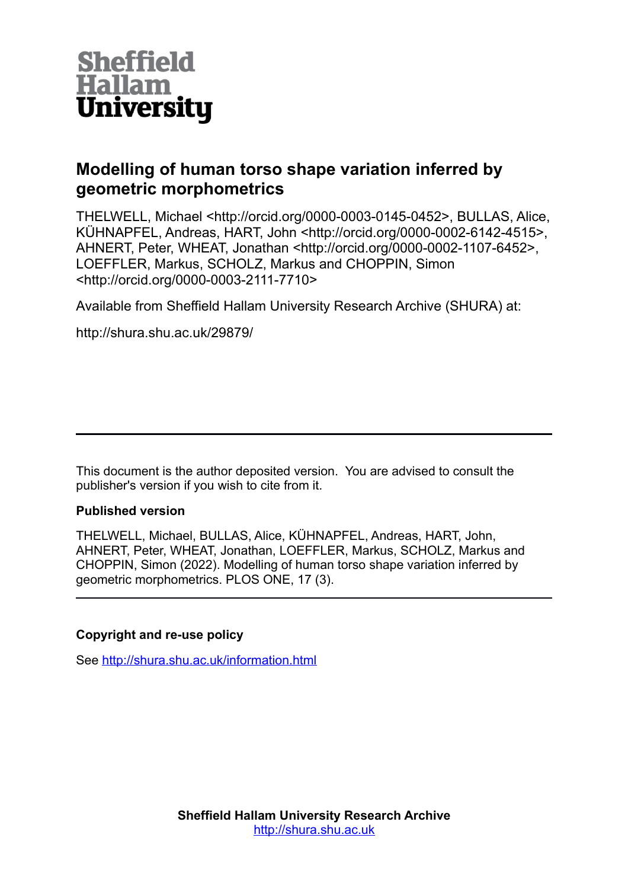

# **Modelling of human torso shape variation inferred by geometric morphometrics**

THELWELL, Michael <http://orcid.org/0000-0003-0145-0452>, BULLAS, Alice, KÜHNAPFEL, Andreas, HART, John <http://orcid.org/0000-0002-6142-4515>, AHNERT, Peter, WHEAT, Jonathan <http://orcid.org/0000-0002-1107-6452>, LOEFFLER, Markus, SCHOLZ, Markus and CHOPPIN, Simon <http://orcid.org/0000-0003-2111-7710>

Available from Sheffield Hallam University Research Archive (SHURA) at:

http://shura.shu.ac.uk/29879/

This document is the author deposited version. You are advised to consult the publisher's version if you wish to cite from it.

# **Published version**

THELWELL, Michael, BULLAS, Alice, KÜHNAPFEL, Andreas, HART, John, AHNERT, Peter, WHEAT, Jonathan, LOEFFLER, Markus, SCHOLZ, Markus and CHOPPIN, Simon (2022). Modelling of human torso shape variation inferred by geometric morphometrics. PLOS ONE, 17 (3).

# **Copyright and re-use policy**

See<http://shura.shu.ac.uk/information.html>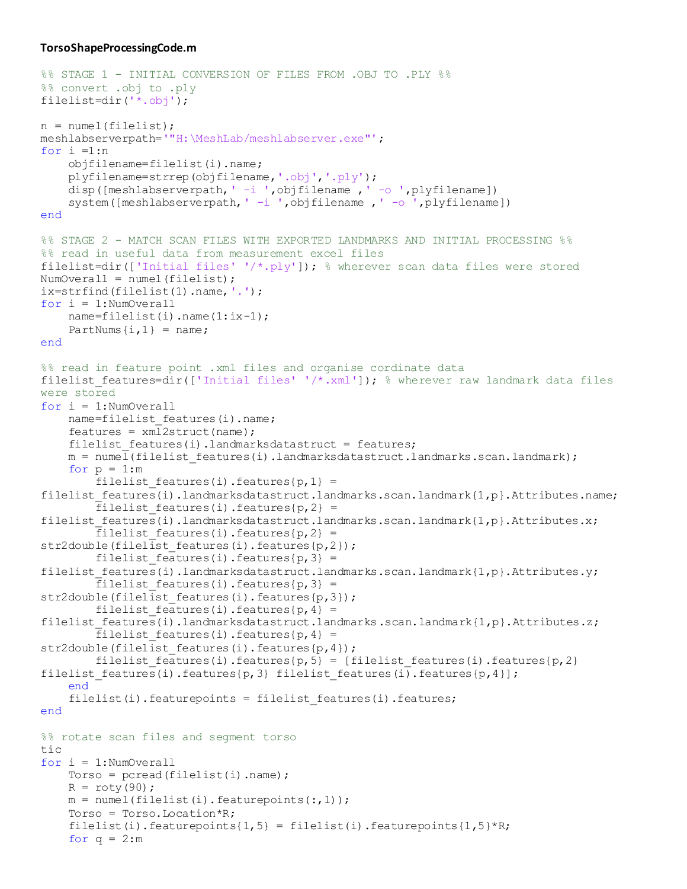#### **TorsoShapeProcessingCode.m**

```
%% STAGE 1 - INITIAL CONVERSION OF FILES FROM .OBJ TO .PLY %%
%% convert .obj to .ply 
filelist=dir('*.obj');
n = numel(filelist);
meshlabserverpath='"H:\MeshLab/meshlabserver.exe"';
for i = 1:n objfilename=filelist(i).name;
     plyfilename=strrep(objfilename,'.obj','.ply');
    disp([meshlabserverpath, ' -i ',objfilename , ' -o ',plyfilename])
    system([meshlabserverpath, ' -i ',objfilename , ' -o ',plyfilename])
end
%% STAGE 2 - MATCH SCAN FILES WITH EXPORTED LANDMARKS AND INITIAL PROCESSING %%
%% read in useful data from measurement excel files
filelist=dir(['Initial files' '/*.ply']); % wherever scan data files were stored
NumOverall = numel(filelist);
ix=strfind(filelist(1).name,'.');
for i = 1:NumOverall 
     name=filelist(i).name(1:ix-1); 
    PartNums\{i, 1\} = name;
end
%% read in feature point .xml files and organise cordinate data
filelist features=dir(['Initial files' '/*.xml']); % wherever raw landmark data files
were stored
for i = 1: NumOverall
    name=filelist features(i).name;
    features = xml2struct(name);filelist features(i).landmarksdatastruct = features;
    m = number(filelist features(i).landmarksdatastruct.landmarks.scan.landmark);for p = 1:mfilelist features(i).features{p,1} =
filelist features(i).landmarksdatastruct.landmarks.scan.landmark{1,p}.Attributes.name;
        filelist features(i).features{p, 2} =
filelist features(i).landmarksdatastruct.landmarks.scan.landmark{1,p}.Attributes.x;
        filelist features(i).features{p,2} =
str2double(filelist features(i).features{p,2});
        filelist features(i).features{p, 3} =
filelist features(i).landmarksdatastruct.landmarks.scan.landmark{1,p}.Attributes.y;
        filelist features(i).features{p,3} =
str2double(filelist features(i).features{p,3});
        filelist features(i).features{p,4} =
filelist features(i).landmarksdatastruct.landmarks.scan.landmark{1,p}.Attributes.z;
        filelist features(i).features{p, 4} =
str2double(filelist features(i).features{p,4});
        filelist features(i).features{p,5} = [filelist features(i).features{p,2}
filelist features(i).features{p,3} filelist features(i).features{p,4}];
     end
    filelist(i).featurepoints = filelist features(i).features;
end
%% rotate scan files and segment torso
tic
for i = 1: NumOverall
    Torso = pread(filelist(i)).name);
    R = roty(90);
    m = numel(filelist(i)).featurepoints(:,1)); Torso = Torso.Location*R;
    filelist(i).featurepoints\{1,5\} = filelist(i).featurepoints\{1,5\}*R;
    for q = 2:m
```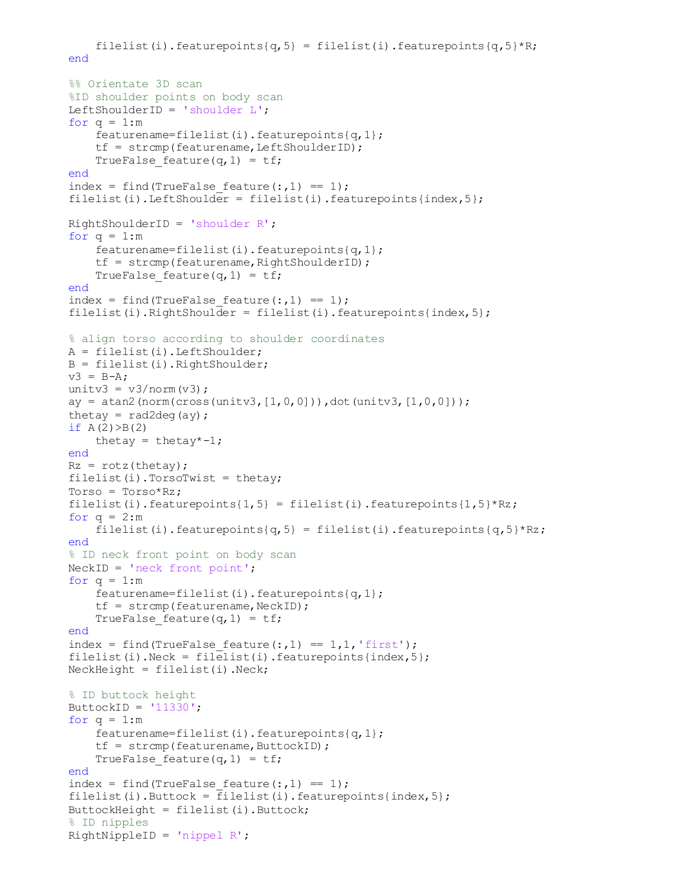```
filelist(i).featurepoints{q,5} = filelist(i).featurepoints{q,5}*R;
 end
 %% Orientate 3D scan 
 %ID shoulder points on body scan
 LeftShoulderID = 'shoulder L';
for q = 1:mfeaturename=filelist(i).featurepoints{q,1};
    tf = strcmp(featurename, LeftShouldderID);TrueFalse feature(q, 1) = tf;
 end
index = find(TrueFalse feature(:,1) == 1);
filelist(i).LeftShoulder = filelist(i).featurepoints{index,5};
 RightShoulderID = 'shoulder R';
for q = 1:m featurename=filelist(i).featurepoints{q,1};
    tf = strcmp(featurename, RightShoulderID);TrueFalse feature(q, 1) = tf;
 end
index = find(TrueFalse feature(:,1) == 1);
filelist(i).RightShoulder = filelist(i).featurepoints{index,5};
 % align torso according to shoulder coordinates
A = filelist(i). LeftShoulder;
 B = filelist(i).RightShoulder;
v3 = B-A;unitv3 = v3/norm(v3);
ay = \text{atan2}(norm(cross(unitv3, [1, 0, 0])), dot(unitv3, [1, 0, 0]));
thetay = rad2deg(ay);
if A(2) > B(2)thetay = thetay*-1;
 end
Rz = rotz(thetay);filelist(i).TorsorWist = thetay;Torso = Torso*Rz;
filelist(i).featurepoints{1,5} = filelist(i).featurepoints{1,5}*Rz;
for q = 2:mfilelist(i).featurepoints{q,5} = filelist(i).featurepoints{q,5}*Rz;
 end
 % ID neck front point on body scan
 NeckID = 'neck front point';
for q = 1:m featurename=filelist(i).featurepoints{q,1};
    tf = strcmp(featurename,NeckID);TrueFalse feature(q, 1) = tf;
 end
index = find(TrueFalse feature(:,1) == 1,1,'first');
filelist(i).Neck = filelist(i).featurepoints{index,5};
 NeckHeight = filelist(i).Neck;
 % ID buttock height
ButtockID = '11330';
for q = 1:m featurename=filelist(i).featurepoints{q,1};
    tf = strcmp(featurename, ButtockID);TrueFalse feature(q, 1) = tf;
 end
index = find(TrueFalse feature(:,1) == 1);
filelist(i).Buttock = filelist(i).featurepoints{index, 5};
 ButtockHeight = filelist(i).Buttock;
 % ID nipples
RightNippleID = 'nippel R';
```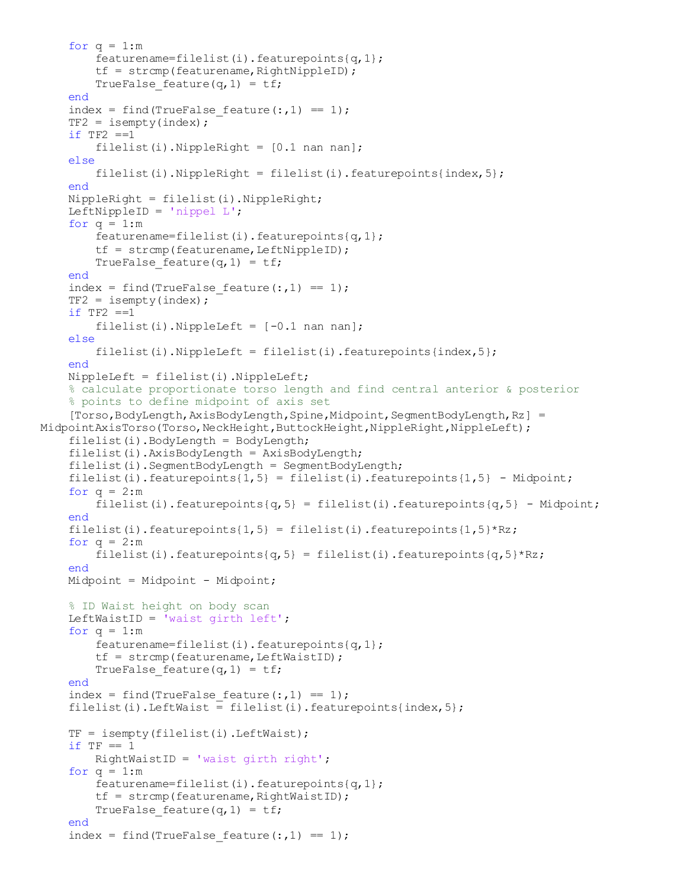```
for q = 1:mfeaturename=filelist(i).featurepoints{q,1};
        tf = strcmp(featurename, RightNippleID);TrueFalse feature(q, 1) = tf;
     end
    index = find(TrueFalse feature(:,1) == 1);
    TF2 = isempty/index);if TF2 == 1filelist(i). NippleRight = [0.1 nan nan];
     else
        filelist(i).NippleRight = filelist(i).featurepoints{index, 5};
     end
     NippleRight = filelist(i).NippleRight;
     LeftNippleID = 'nippel L';
    for q = 1:m featurename=filelist(i).featurepoints{q,1};
        tf = strcmp(featurename, LeftNippleID);TrueFalse feature(q, 1) = tf;
     end
    index = find(TrueFalse feature(:,1) == 1);
    TF2 = isempty(intdex);if TF2 == 1filelist(i). NippleLeft = [-0.1 nan nan];
     else
        filelist(i).NippleLeft = filelist(i).featurepoints{index,5};
     end
     NippleLeft = filelist(i).NippleLeft;
     % calculate proportionate torso length and find central anterior & posterior
     % points to define midpoint of axis set
    [Torso,BodyLength,AxisBodyLength,Spine,Midpoint,SegmentBodyLength,Rz] =
MidpointAxisTorso(Torso,NeckHeight,ButtockHeight,NippleRight,NippleLeft);
    filelist(i).BodyLength = BodyLength;filelist(i).AxisBodyLength = AxisBodyLength; filelist(i).SegmentBodyLength = SegmentBodyLength;
    filelist(i).featurepoints{1,5} = filelist(i).featurepoints{1,5} - Midpoint;
    for q = 2:mfilelist(i).featurepoints{q,5} = filelist(i).featurepoints{q,5} - Midpoint;
     end 
    filelist(i).featurepoints{1,5} = filelist(i).featurepoints{1,5}*Rz;
    for q = 2:mfilelist(i).featurepoints{q,5} = filelist(i).featurepoints{q,5}*Rz;
     end 
     Midpoint = Midpoint - Midpoint;
     % ID Waist height on body scan
    LeftWaistID = 'waist girth left';
    for q = 1:mfeaturename=filelist(i).featurepoints{q,1};
        tf = strcmp(featurename, LeftWaitID);TrueFalse feature(q, 1) = tf;
     end
    index = find(TrueFalse feature(:,1) == 1);
    filelist(i).LeftWaist = filelist(i).featurepoints{index, 5};
    TF = isempty (filelist(i)).LeftWait);if TF == 1 RightWaistID = 'waist girth right';
    for q = 1:mfeaturename=filelist(i).featurepoints{q,1};
        tf = strcmp(featurename,RightWaitID);TrueFalse feature(q, 1) = tf;
     end
    index = find(TrueFalse feature(:,1) == 1);
```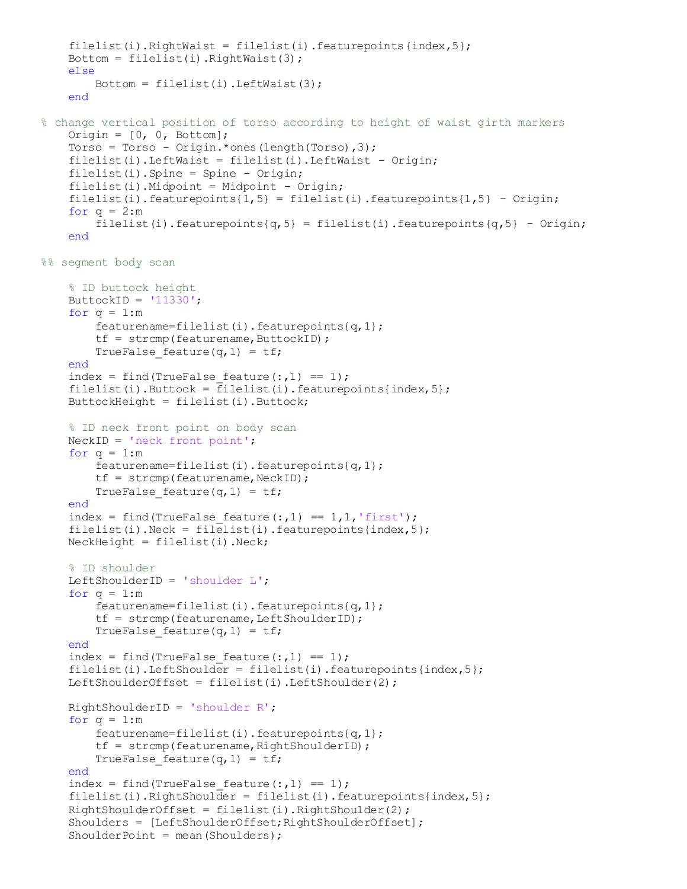```
filelist(i).RightWaist = filelist(i).featurepoints{index,5};
    Bottom = filelist(i).RightWait(3); else
        Bottom = filelist(i) .LeftWait(3); end
% change vertical position of torso according to height of waist girth markers
    Origin = [0, 0, \text{Bottom}];Torso = Torso - Origin. * ones (length(Torso), 3);
     filelist(i).LeftWaist = filelist(i).LeftWaist - Origin;
     filelist(i).Spine = Spine - Origin;
    filelist(i).Midpoint = Midpoint - Origin;
    filelist(i).featurepoints{1,5} = filelist(i).featurepoints{1,5} - Origin;
    for q = 2:mfilelist(i).featurepoints{q,5} = filelist(i).featurepoints{q,5} - Origin;
     end
%% segment body scan
     % ID buttock height
    ButtockID = '11330';
    for q = 1:m featurename=filelist(i).featurepoints{q,1};
        tf = strcmp(featurename, ButtockID);TrueFalse feature(q, 1) = tf;
     end
    index = find(TrueFalse feature(:,1) == 1);
    filelist(i).Buttock = \overline{f}ilelist(i).featurepoints{index, 5};
    But to ckHeight = filelist(i).Buttock;
     % ID neck front point on body scan
     NeckID = 'neck front point';
    for q = 1:m featurename=filelist(i).featurepoints{q,1};
        tf = strcmp(featurename,NeckID);TrueFalse feature(q, 1) = tf;
     end
    index = find(TrueFalse feature(:,1) == 1,1,'first');
    filelist(i).Neck = filelist(i).featurepoints{index,5};
     NeckHeight = filelist(i).Neck;
     % ID shoulder
     LeftShoulderID = 'shoulder L';
    for q = 1:m featurename=filelist(i).featurepoints{q,1};
        tf = strcmp(featurename, LeftShoulderID);TrueFalse feature(q, 1) = tf;
     end
    index = find(TrueFalse feature(:,1) == 1);
    filelist(i).LeftShoulder = filelist(i).featurepoints{index,5};
    LeftShoulderOffset = filelist(i).LeftShoulder(2);
    RightShoulderID = 'shoulder R';for q = 1:mfeaturename=filelist(i).featurepoints{q,1};
        tf = strcmp(featurename,RightShoulderID);TrueFalse feature(q, 1) = tf;
     end
    index = find(TrueFalse feature(:,1) == 1);
    filelist(i).RightShoulder = filelist(i).featurepoints{index,5};
    RightShoulderOffset = filelist(i).RightShoulder(2);Shoulders = [LeftShoulderOffset; RightShoulderOffset];
    ShoulderPoint = mean(Shoulders);
```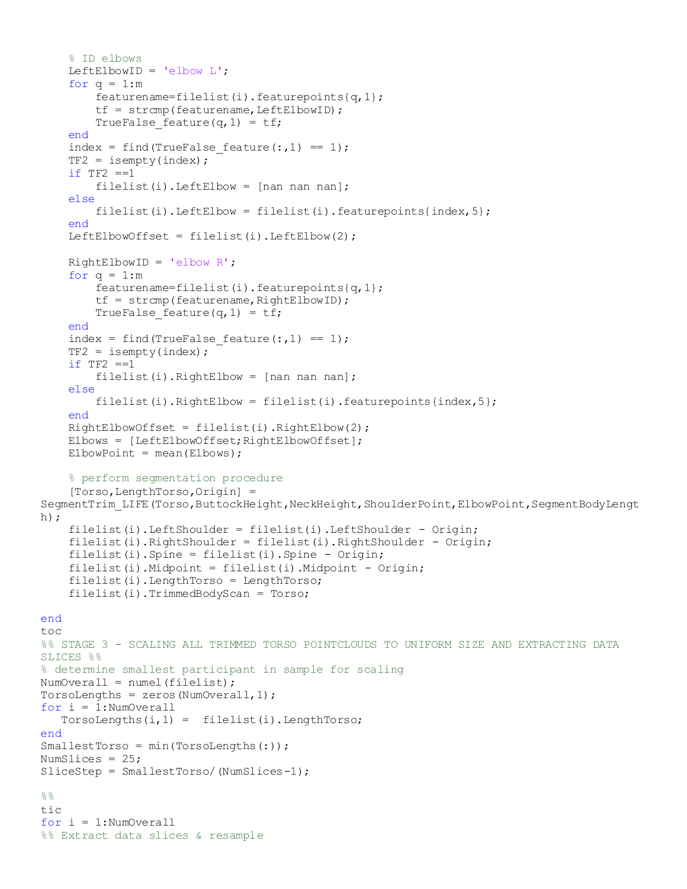```
 % ID elbows
    LeftElbowID = 'elbow L';
    for q = 1:mfeaturename=filelist(i).featurepoints{q, 1};
        tf = strcmp(featurename, LeftElbowID);TrueFalse feature(q, 1) = tf;
     end
    index = find(TrueFalse feature(:,1) == 1);
    TF2 = isempty/index);if TF2 == 1filelist(i).LeftElbow = [nan nan];
     else
        filelist(i).LeftElbow = filelist(i).featurepoints{index,5};
     end
    LeftElbowOffset = filelist(i).LeftElbow(2);
     RightElbowID = 'elbow R';
    for q = 1:mfeaturename=filelist(i).featurepoints{q,1};
        tf = strcmp(featurename,RightElbowID);TrueFalse feature(q, 1) = tf;
     end
    index = find(TrueFalse feature(:,1) == 1);
    TF2 = isempty/index);if TF2 == 1filelist(i). RightElbow = [nan nan nan];
     else
        filelist(i).RightElbow = filelist(i).featurepoints{index,5};
     end
    RightElbowOffset = filelist(i).RightElbow(2);Elbows = [LeftElbowOffset; RightElbowOffset];
    ElbowPoint = mean(Elbows); % perform segmentation procedure
     [Torso,LengthTorso,Origin] = 
SegmentTrim_LIFE(Torso,ButtockHeight,NeckHeight,ShoulderPoint,ElbowPoint,SegmentBodyLengt
h);
     filelist(i).LeftShoulder = filelist(i).LeftShoulder - Origin;
     filelist(i).RightShoulder = filelist(i).RightShoulder - Origin;
     filelist(i).Spine = filelist(i).Spine - Origin;
    filelist(i).Midpoint = filelist(i).Midpoint - Origin; filelist(i).LengthTorso = LengthTorso;
     filelist(i).TrimmedBodyScan = Torso; 
end
toc
%% STAGE 3 - SCALING ALL TRIMMED TORSO POINTCLOUDS TO UNIFORM SIZE AND EXTRACTING DATA 
SLICES %%
% determine smallest participant in sample for scaling
NumOverall = numel(filelist);
TorsoLengths = zeros (NumOverall, 1) ;
for i = 1: NumOverall
   Torsolengths(i,1) = filelist(i).LengthTorso;end
SmallestTorso = min(TorsoLengths(:));
NumSlices = 25;
SliceStep = SmallestTorso/(NumSlices-1);
%tic
for i = 1: NumOverall
%% Extract data slices & resample
```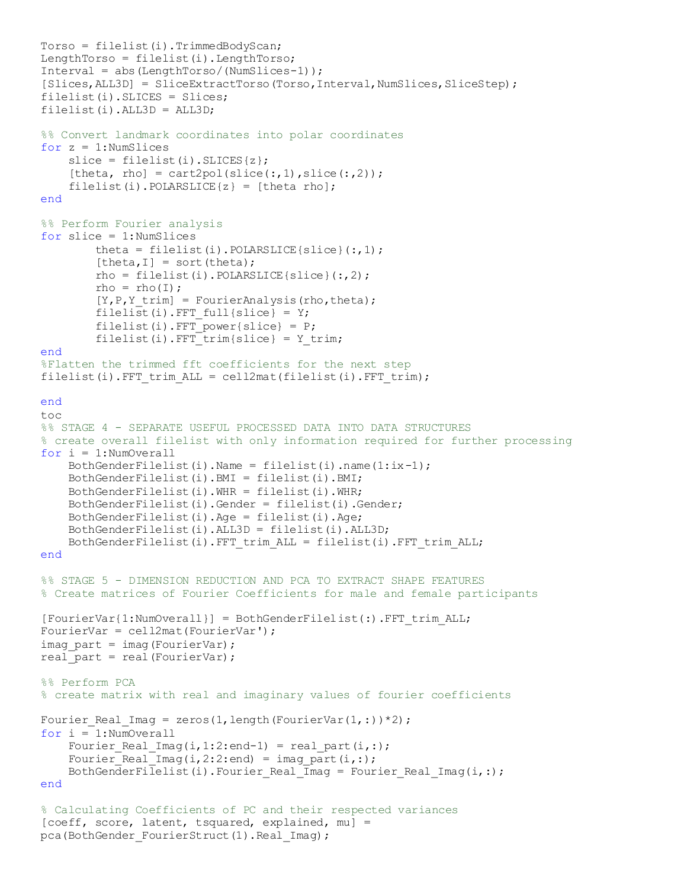```
Torso = filelist(i).TrimmedBodyScan;LengthTorso = filelist(i). LengthTorso;
Interval = abs(LengthTorso/(NumSlices-1));
[Slices,ALL3D] = SliceExtractTorso(Torso,Interval,NumSlices,SliceStep);
filelist(i).SLICES = Slices;
filelist(i).ALL3D = ALL3D;
%% Convert landmark coordinates into polar coordinates
for z = 1: NumSlices
    slice = filelist(i). SLICES{z};
    [theta, rho] = cart2pol(slice(:,1),slice(:,2));
    filelist(i). POLARSLICE\{z\} = [theta rho];
end
%% Perform Fourier analysis
for slice = 1: NumSlices
         theta = filelist(i).POLARSLICE{slice}(:,1);
        [theta, I] = sort(theta);rho = filelist(i).POLARSLICE{slice}(:, 2);rho = rho(1);
        [Y, P, Y \text{ trim}] = FourierAnalysis(rho,theta);
        filelist(i).FFT full{slice} = Y;
        filelist(i).FFT power{slice} = P;
        filelist(i).FFT trim{slice} = Y trim;
end
%Flatten the trimmed fft coefficients for the next step
filelist(i).FFT trim ALL = cell2mat(filelist(i).FFT trim);
end
toc
%% STAGE 4 - SEPARATE USEFUL PROCESSED DATA INTO DATA STRUCTURES 
% create overall filelist with only information required for further processing
for i = 1: NumOverall
    BothGenderFilelist(i).Name = filelist(i).name(1:ix-1);
     BothGenderFilelist(i).BMI = filelist(i).BMI;
     BothGenderFilelist(i).WHR = filelist(i).WHR;
     BothGenderFilelist(i).Gender = filelist(i).Gender;
     BothGenderFilelist(i).Age = filelist(i).Age;
     BothGenderFilelist(i).ALL3D = filelist(i).ALL3D;
     BothGenderFilelist(i).FFT_trim_ALL = filelist(i).FFT_trim_ALL;
end
%% STAGE 5 - DIMENSION REDUCTION AND PCA TO EXTRACT SHAPE FEATURES
% Create matrices of Fourier Coefficients for male and female participants
[FourierVar{1:NumOverall}] = BothGenderFilelist():. FFT trim ALL;
FourierVar = cell2mat(FourierVar');
imag part = imag(FourierVar);
real part = real(FourierVar);
%% Perform PCA
% create matrix with real and imaginary values of fourier coefficients
Fourier_Real_Imag = zeros(1, length(FourierVar(1,:))*2);
for i = 1: NumOverall
    Fourier_Real_Imag(i,1:2:end-1) = real_part(i,:);
    Fourier_Real_Imag(i,2:2:end) = imag part(i,:);
    BothGenderFilelist(i).Fourier Real \overline{I}mag = Fourier Real Imag(i,:);
end
% Calculating Coefficients of PC and their respected variances
[coeff, score, latent, tsquared, explained, mu] =
```
pca(BothGender FourierStruct(1).Real Imag);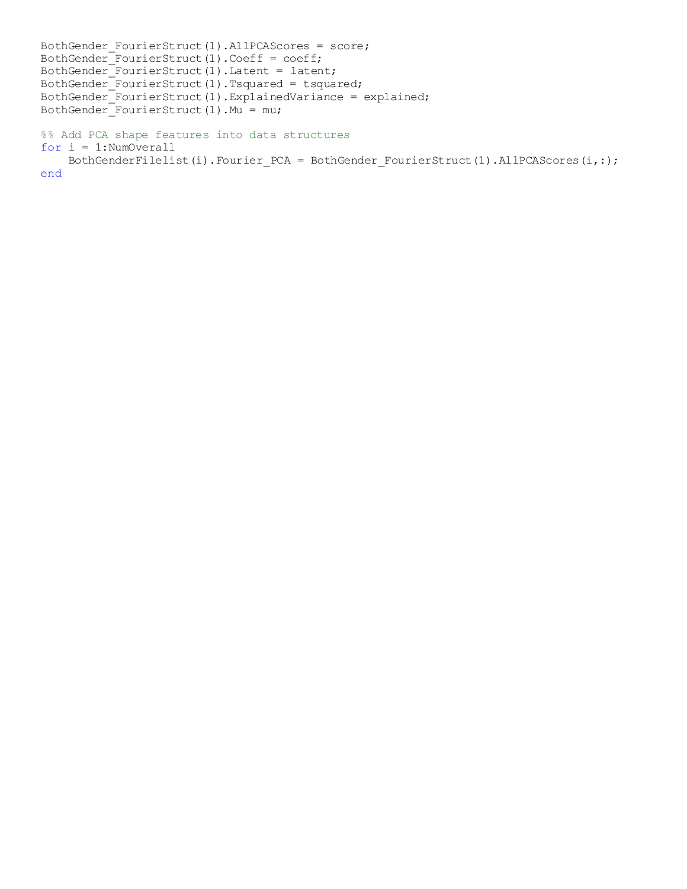```
BothGender FourierStruct(1).AllPCAScores = score;
BothGender_FourierStruct(1).Coeff = coeff;
BothGender_FourierStruct(1).Latent = latent;
BothGender_FourierStruct(1).Tsquared = tsquared;
BothGender_FourierStruct(1).ExplainedVariance = explained;
BothGender_FourierStruct(1). Mu = mu;
%% Add PCA shape features into data structures
for i = 1:NumOverall
     BothGenderFilelist(i).Fourier_PCA = BothGender_FourierStruct(1).AllPCAScores(i,:);
```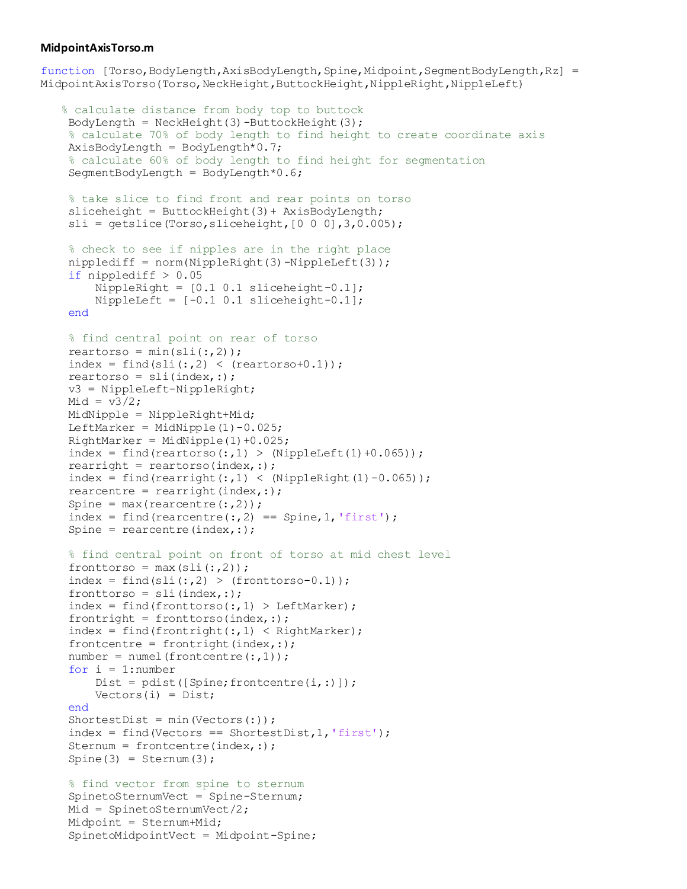#### **MidpointAxisTorso.m**

function [Torso,BodyLength,AxisBodyLength,Spine,Midpoint,SegmentBodyLength,Rz] = MidpointAxisTorso(Torso,NeckHeight,ButtockHeight,NippleRight,NippleLeft)

```
 % calculate distance from body top to buttock
BodyLength = NeckHeight(3) -ButlockHeight(3); % calculate 70% of body length to find height to create coordinate axis
AxisBodyLength = BodyLength * 0.7; % calculate 60% of body length to find height for segmentation
SegmentBodyLength = BodyLength^*0.6; % take slice to find front and rear points on torso
sliceheight = ButterockHeight(3) + AxisBodyLength;sli = getslice(Torso, sliceheight, [0 0 0], 3, 0.005); % check to see if nipples are in the right place
nipplediff = norm(NippleRight(3) - NippleLeft(3));if nipplediff > 0.05 NippleRight = [0.1 0.1 sliceheight-0.1];
    NippleLeft = [-0.1 \ 0.1 \  \text{sliceheight} - 0.1];
 end
 % find central point on rear of torso
reartorso = min(sli(:,2));index = find(sli(:,2) < (reartorsol-0.1));reartorso = sli(index, :); v3 = NippleLeft-NippleRight; 
Mid = v3/2; MidNipple = NippleRight+Mid;
LeftMarker = MidNipple(1)-0.025;
RightMarket = MidNipple(1) + 0.025;index = find(reartorso(:,1) > (NippleLeft(1)+0.065));
rearright = reartorso(index,:);
index = find(rearright(:,1) < (NippleRight(1)-0.065));
rearcentre = rearright(index,:);
Spine = max(rearcentre(:,2));
 index = find(rearcentre(:, 2) == Spine, 1, 'first');
Spine = rearcentre(index,:);
 % find central point on front of torso at mid chest level
fronttorso = max(sli(:,2));
index = find(sli(:,2) > (fronttorso-0.1));fronttorso = sli (index, :);
index = find(fronttorso(:,1) > LeftMarket);frontright = fronttorso(index,:);
index = find(frontright(:, 1) < RightMarket);frontcentre = frontright(index,:);
number = number (frontcentre(:,1));for i = 1: number
    Dist = pdist([Spine;frontcentre(i,:)]);Vectors(i) = Dist; end
 ShortestDist = min(Vectors(:));
 index = find(Vectors == ShortestDist, 1, 'first');Sternum = frontcentre(index,:);
Spine(3) = Sternum(3);
 % find vector from spine to sternum
 SpinetoSternumVect = Spine-Sternum;
Mid = SpinetosternumVect/2; Midpoint = Sternum+Mid;
  SpinetoMidpointVect = Midpoint-Spine;
```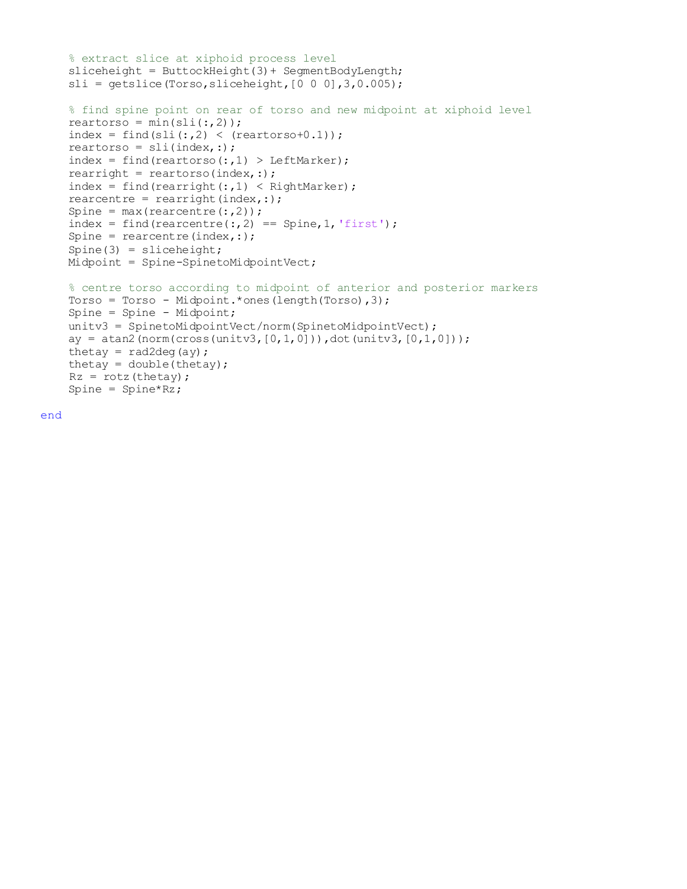```
 % extract slice at xiphoid process level
 sliceheight = ButtockHeight(3)+ SegmentBodyLength;
sli = getslice(Torso, sliceheight, [0 0 0], 3, 0.005); % find spine point on rear of torso and new midpoint at xiphoid level
reartorso = min(sli(:,2));
index = find(sli(:,2) < (reartorsol·0.1));reartorso = sli(intex,:);index = find(reartorso(:,1) > LeftMarket);rearright = reartorso(index,:);
index = find(rearright(:, 1) < RightMarker);
rearcentre = rearright(index,:);
Spine = max(rearcentre(:,2));
index = find(rearcentre(:, 2) == Spine, 1, 'first');
Spine = rearcentre(index,:);
Spine(3) = sliceheight; Midpoint = Spine-SpinetoMidpointVect;
 % centre torso according to midpoint of anterior and posterior markers
 Torso = Torso - Midpoint.*ones(length(Torso),3);
 Spine = Spine - Midpoint;
 unitv3 = SpinetoMidpointVect/norm(SpinetoMidpointVect);
ay = \text{atan2}(norm(cross(unity3, [0,1,0])), dot(unitv3,[0,1,0]));
thetay = rad2deg(ay);
thetay = double(thetay);
Rz = rotz (thetay);
 Spine = Spine*Rz;
```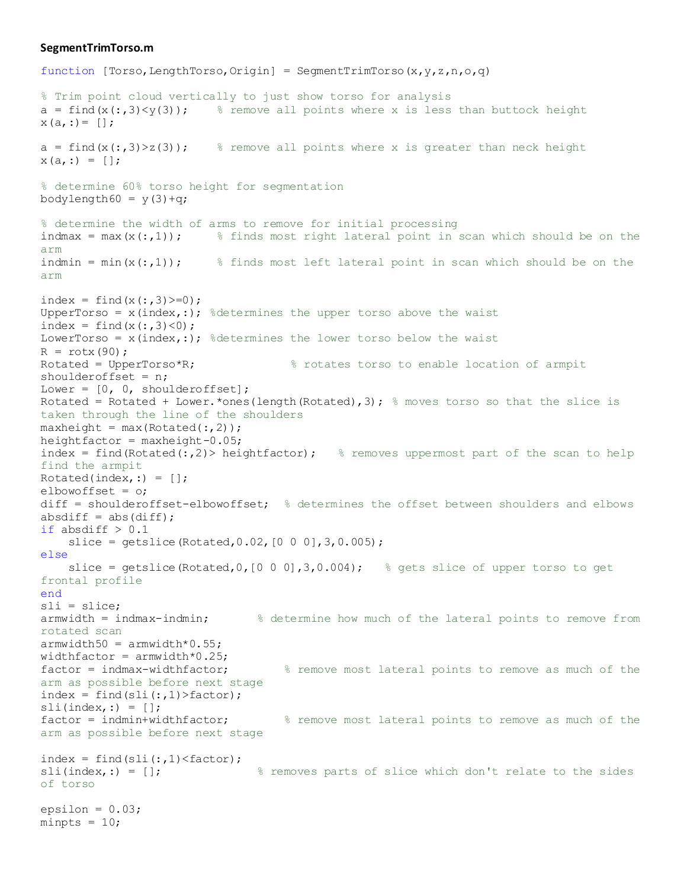#### **SegmentTrimTorso.m**

function [Torso, LengthTorso, Origin] = SegmentTrimTorso(x, y, z, n, o, q)

```
% Trim point cloud vertically to just show torso for analysis
a = \text{find}(x(:,3)\leq y(3)); % remove all points where x is less than buttock height
x(a, :)= [;
a = \text{find}(x(:,3)>z(3)); \frac{a}{b} remove all points where x is greater than neck height
x(a, :) = [];
% determine 60% torso height for segmentation
bodylength60 = y(3)+q;
% determine the width of arms to remove for initial processing
indmax = max(x(:,1)); \frac{1}{5} finds most right lateral point in scan which should be on the
arm
indmin = min(x(:,1)); % finds most left lateral point in scan which should be on the
arm
index = find(x(:,3))>=0;UpperTorso = x(intext{, :}); %determines the upper torso above the waist
index = find(x(:,3) < 0);
LowerTorso = x(intext{, :}); %determines the lower torso below the waist
R = \text{rot}x(90);
Rotated = UpperTorso*R; \frac{1}{2} \frac{1}{2} arms \frac{1}{2} arms \frac{1}{2} arms \frac{1}{2} arms \frac{1}{2} arms \frac{1}{2} arms \frac{1}{2} arms \frac{1}{2} arms \frac{1}{2} arms \frac{1}{2} arms \frac{1}{2} arms \frac{1}{2} arms \frac{1}{2}shoulderoffset = n;
Lower = [0, 0, shoulderoffset];
Rotated = Rotated + Lower. * ones (length (Rotated), 3); \frac{1}{2} moves torso so that the slice is
taken through the line of the shoulders
maxheight = max(Rotted(:,2));heightfactor = maxheight -0.05;
index = find(Rotated(:,2)> heightfactor); \frac{1}{2} removes uppermost part of the scan to help
find the armpit
Rotated(index,:) = [];
elbowoffset = o;
diff = shoulderoffset-elbowoffset; % determines the offset between shoulders and elbows
absdiff = abs(diff);
if absdiff > 0.1slice = qetslice(Rotted, 0.02, [0 0 0], 3, 0.005);else
    slice = getslice(Rotated, 0, [0 \ 0 \ 0], 3, 0.004); \frac{1}{2} gets slice of upper torso to get
frontal profile
end
sli = slice;
armwidth = indmax-indmin; % determine how much of the lateral points to remove from 
rotated scan
armwidth50 = armwidth*0.55;widthfactor = armwidth*0.25;factor = indmax-widthfactor; <br> % remove most lateral points to remove as much of the
arm as possible before next stage
index = find(sli(:,1)) factor);
\text{sli}(\text{index},:) = [];
factor = indmin+widthfactor; <br> % remove most lateral points to remove as much of the
arm as possible before next stage
index = find(sli(:,1) < factor);sli(index,:) = []; \frac{1}{8} removes parts of slice which don't relate to the sides
of torso
epsilon = 0.03;
minpts = 10;
```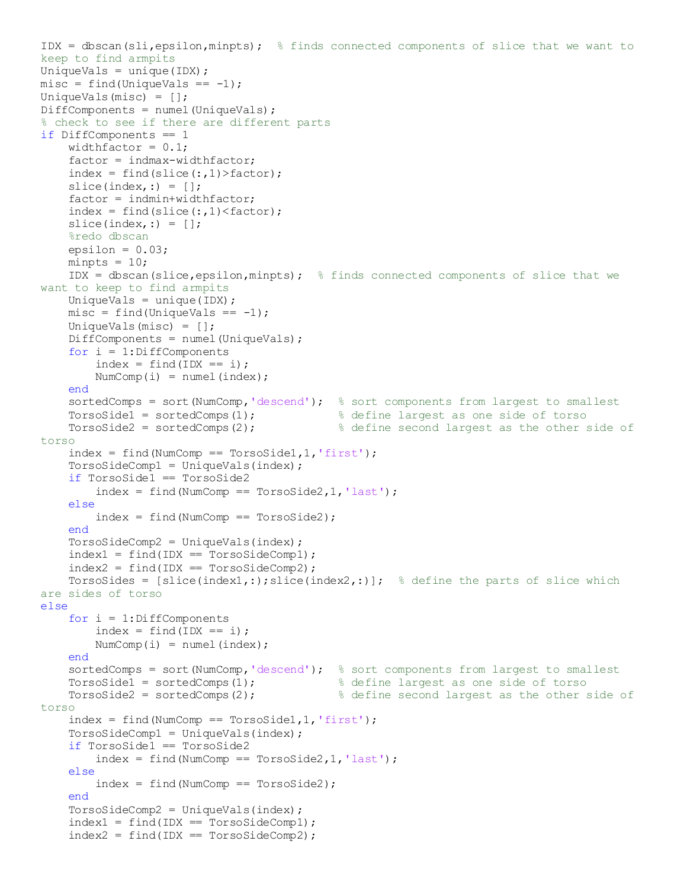```
IDX = dbscan(sli,epsilon,minpts); % finds connected components of slice that we want to
keep to find armpits
UniqueVals = unique(IDX) ;
misc = find(UniqueVals == -1);UniqueVals(misc) = [];
DiffComponents = numel(UniqueVals);
% check to see if there are different parts
if DiffComponents == 1
    widthfactor = 0.1;
     factor = indmax-widthfactor;
    index = find(slice(:,1)) > factor;
    slice(index, :) = [];
    factor = indmin+widthfactor;index = find(slice(:,1) < factor);slice(index,:) = [];
     %redo dbscan
    epsilon = 0.03;
    minpts = 10;
    IDX = dbscan(slice,epsilon,minpts); \frac{1}{8} finds connected components of slice that we
want to keep to find armpits
    UniqueVals = unique(IDX) ;
    misc = find(UniqueVals == -1); UniqueVals(misc) = [];
    DiffComponents = numel(UniqueVals);
    for i = 1:DiffComponentsindex = find(ID == i);NumComp(i) = numel(index);
     end
    sortedComps = sort (NumComp, 'descend'); % sort components from largest to smallest
TorsoSide1 = sortedComps(1); \frac{1}{3} & define largest as one side of torso
TorsoSide2 = sortedComps(2); \frac{1}{2} & define second largest as the other side of
torso
    index = find(NumComp == Torsosidel, 1, 'first'); TorsoSideComp1 = UniqueVals(index);
     if TorsoSide1 == TorsoSide2
        index = find(NumComp == Torsoside2,1,'last'); else
        index = find(NumComp == TorsoSide2); end
     TorsoSideComp2 = UniqueVals(index);
    index1 = find(ID == TorsosideComp1);index2 = find(ID = TorsosideComp2);TorsoSides = [slice(intex1,:);slice(intex2,:)]; % define the parts of slice which
are sides of torso 
else
    for i = 1: DiffComponents
        index = find(ID == i);NumComp(i) = numel(index);
     end
    sortedComps = sort (NumComp, 'descend'); % sort components from largest to smallest
TorsoSide1 = sortedComps(1); \frac{1}{3} & define largest as one side of torso
TorsoSide2 = sortedComps(2); \frac{1}{2} & define second largest as the other side of
torso
    index = find(NumComp == Torsosidel, 1, 'first'); TorsoSideComp1 = UniqueVals(index);
     if TorsoSide1 == TorsoSide2
        index = find(NumComp == Torsoside2,1,'last'); else
        index = find(NumComp == Torsoside2); end
     TorsoSideComp2 = UniqueVals(index);
    index1 = find(ID == TorsosideComp1);index2 = find(ID == TorsosideComp2);
```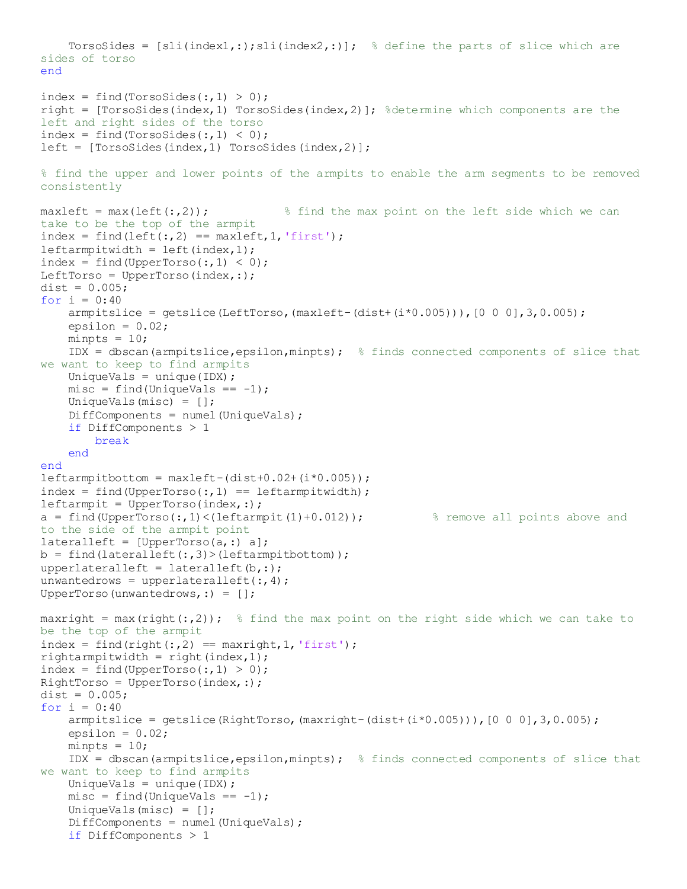```
TorsoSides = [sli(intdex),;;sli(intdex),;]; % define the parts of slice which are
sides of torso 
end
index = find(Torsosides(:, 1) > 0);right = [Torsosides(intex, 1) Torsosides(intex, 2)]; % determine which components are theleft and right sides of the torso
index = find(Torsosides(:, 1) < 0);left = [Torsosides/index,1) TorsoSides(index,2)];
% find the upper and lower points of the armpits to enable the arm segments to be removed 
consistently
maxlet = max(left(:,2)); <br> % Find the max point on the left side which we cantake to be the top of the armpit 
index = find(left(:, 2) == maxleft, 1, 'first');leftarrow is leftarmpitwidth = left(index, 1);
index = find(UpperTorso(:,1) < 0);LeftTorso = UpperTorso(index,:);
dist = 0.005;for i = 0:40amputslice = getslice(LeftTorso, (maxleft-(dist+(i*0.005))), [0 0 0], 3, 0.005);epsilon = 0.02;
    minpts = 10;IDX = dbscan(armpitslice,epsilon,minpts); \frac{1}{2} finds connected components of slice that
we want to keep to find armpits
    UniqueVals = unique(IDX) ;
    misc = find(UniqueVals == -1); UniqueVals(misc) = [];
    DiffComponents = number (UniqueVals); if DiffComponents > 1
         break
     end
end
leftarmpitbottom = maxleft-(dist+0.02+(i*0.005));
index = find(UpperTorso(:,1) == leftarmpitwidth);leftarmpit = UpperTorso(index, :);a = find(UpperTorso(:,1)<(leftarmpit(1)+0.012)); \qquad % remove all points above and
to the side of the armpit point
lateralleft = [UpperTorso(a,:) a];b = find(lateralleft(:,3)>(leftampitbottom));upperlateralleft = lateralleft(b,:);
unwantedrows = upperlateralleft(:, 4);UpperTorso(unwantedrows,:) = [];
maxright = max(right(:,2)); \frac{1}{2} find the max point on the right side which we can take to
be the top of the armpit
index = find(right(:,2) == maxright, 1, 'first');rightarmpitwidth = right(index, 1);
index = find(UpperTorso(:,1) > 0);RightTorso = UpperTorso(index,:);
dist = 0.005;
for i = 0:40amplitslice = getslice(RightTorso, (maxright-(dist+(i*0.005))), [0 0 0], 3, 0.005);epsilon = 0.02;
    minpts = 10;IDX = dbscan(armpitslice,epsilon,minpts); \frac{1}{2} finds connected components of slice that
we want to keep to find armpits
   UniqueVals = unique(IDX) ;
    misc = find(UniqueVals == -1); UniqueVals(misc) = [];
    DiffComponents = number (UniqueVals); if DiffComponents > 1
```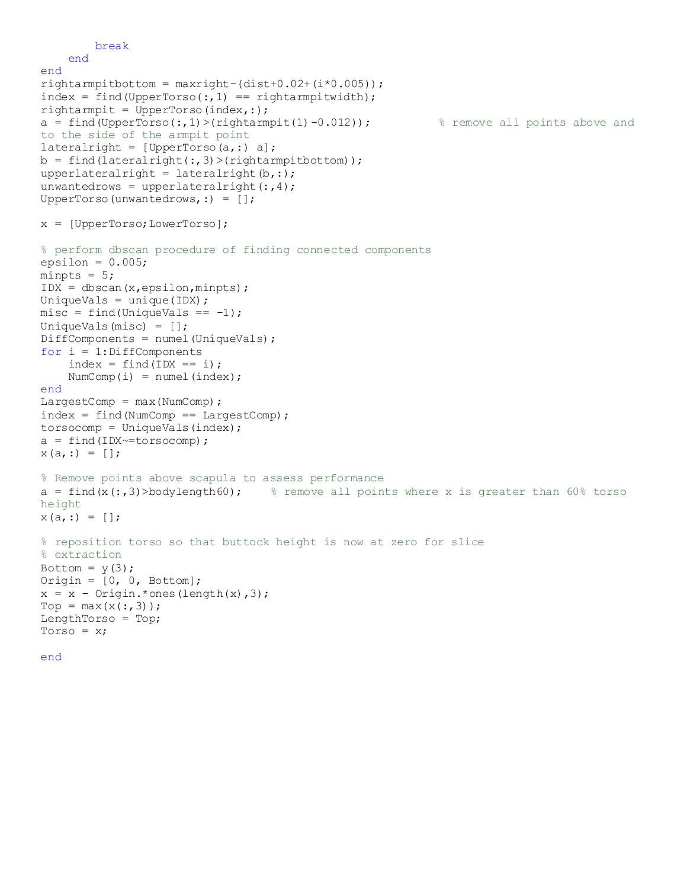```
 break
     end
end
right-(dist+0.02+(i*0.005));
index = find(UpperTorso(:,1) == rightarmpitwidth);rightarmpit = UpperTorso(intdex, :);a = find(UpperTorso(:,1)>(rightarmpit(1)-0.012)); % remove all points above and
to the side of the armpit point
lateralright = [UpperTorso(a,:) a];
b = find(lateralright(:,3)>(rightarmpitchottom));upperlateralright = lateralright(b,:);
unwantedrows = upperlateralright(:,4);UpperTorso(unwantedrows,:) = [];
x = [UpperTorso;LowerTorso];
% perform dbscan procedure of finding connected components
epsilon = 0.005;
minpts = 5;
IDX = dbscan(x, epsilon, minpts);UniqueVals = unique(IDX) ;
misc = find(UniqueVals == -1);UniqueVals(misc) = [];
DiffComponents = numel(UniqueVals);
for i = 1: DiffComponents
    index = find(ID = i);NumComp(i) = numel(index);
end
LargestComp = max(NumComp);
index = find(NumComp == LargetComp);torsocomp = UniqueVals(intndex);a = \text{find}(\text{IDX} \text{~=} \text{torsocomp});x(a,:) = []% Remove points above scapula to assess performance
a = find(x(:,3)>bodylength60); \frac{8}{5} remove all points where x is greater than 60% torso
height
x(a, :) = [];
% reposition torso so that buttock height is now at zero for slice
% extraction
Bottom = y(3);
Origin = [0, 0, \text{Bottom}];x = x - Origin. * ones (length(x), 3);
Top = max(x(:,3));
LengthTorso = Top;
Torso = x;
```

```
end
```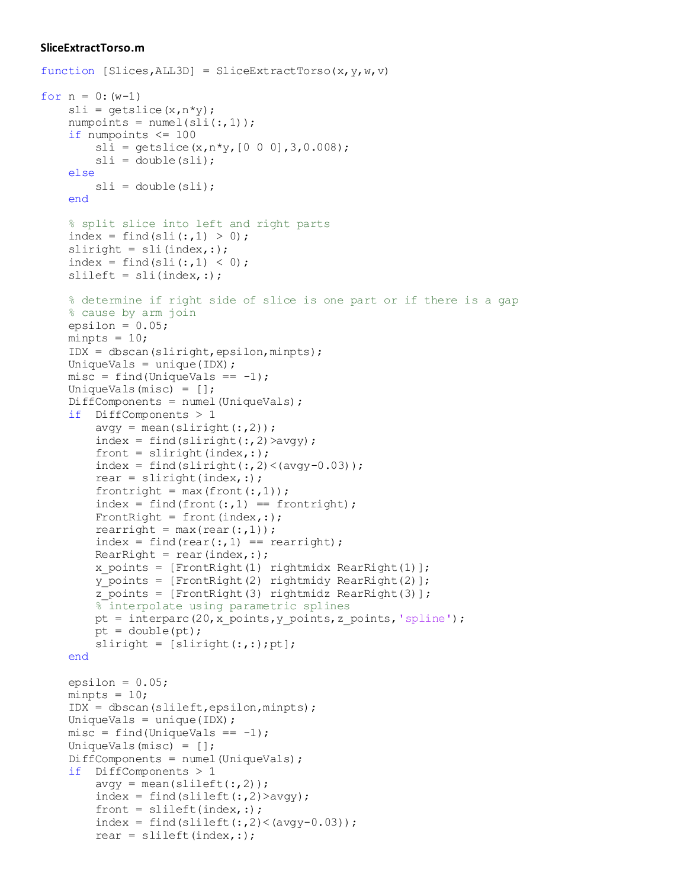#### **SliceExtractTorso.m**

```
function [Slices, ALL3D] = SliceExtractTorso(x,y,w,v)for n = 0: (w-1)
   sli = getslice(x, n * y);numpoints = numel(sli(:,1)); if numpoints <= 100
        sli = qetslice(x, n*y, [0 0 0], 3, 0.008);sli = double(sli); else
        sli = double(sli); end
     % split slice into left and right parts
    index = find(sli(:,1) > 0);sliright = sli(index, :);index = find(sli(:,1) < 0);slileft = sli(intex, :); % determine if right side of slice is one part or if there is a gap
     % cause by arm join
   epsilon = 0.05;
   minpts = 10; IDX = dbscan(sliright,epsilon,minpts); 
   UniqueVals = unique(IDX) ;
   misc = find(UniqueVals == -1); UniqueVals(misc) = [];
    DiffComponents = numel(UniqueVals);
     if DiffComponents > 1
        avgy = mean(slimit(t:, 2));
        index = find(slimit(t:, 2) > avg(y);front = sliright(index,:);index = find(sliright(:, 2) <(avgy-0.03));
        rear = sliright(intex, :);frontright = max(front(:,1));
        index = find(front(:,1) == front(jht));FrontRight = front(index,:);
        rearright = max(rear(:,1));
        index = find(rear(:,1) == rearright);RearRight = rear(index,:);
        x points = [FrontRight(1) right) rightmidx RearRight(1)];
        y points = [FrontRight(2) right] rightmidy RearRight(2)];
        z points = [FrontRight(3) rightmidz RearRight(3)];
         % interpolate using parametric splines
        pt = interparc(20, x points, y points, z points, 'spline');
        pt = double(pt);sliright = [slimit(int;;);pt]; end
   epsilon = 0.05;
   minpts = 10; IDX = dbscan(slileft,epsilon,minpts); 
   UniqueVals = unique(IDX) ;
   misc = find(UniqueVals == -1); UniqueVals(misc) = [];
    DiffComponents = numel(UniqueVals);
     if DiffComponents > 1
        avgy = mean(slineft(:,2));index = find(slineft(:,2)>avgy);front = slileft(index, :);index = find(slileft(:,2) < (avgy-0.03));rear = slileft(index, :);
```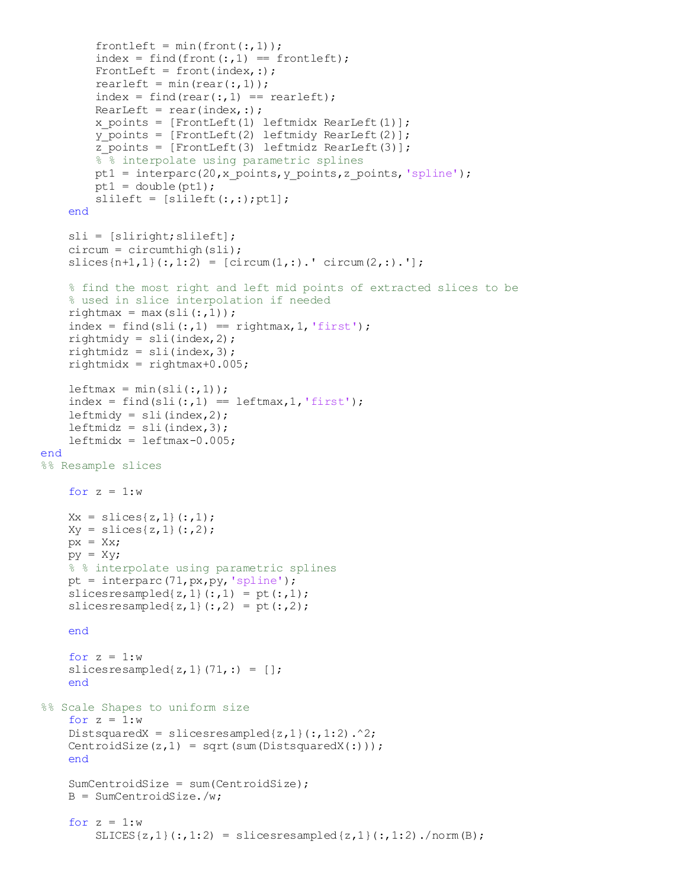```
frontleft = min(front(:, 1));
        index = find(front(:,1) == frontlet);FrontLeft = front(index, :);
        rearleft = min(rear(:,1));index = find(rear(:,1) == rearleft);RearLeft = rear(index, :);x\_points = [FrontLeft(1) leftmid x, RearLeft(1)];
        y points = [FrontLeft(2) leftmidy RearLeft(2)];
        \overline{z} points = [FrontLeft(3) leftmidz RearLeft(3)];
        % interpolate using parametric splines
        pt1 = interparc(20,x points, y points, z points, 'spline');
        pt1 = double(pt1);slileft = [slileft(:,:);pt1]; end
     sli = [sliright;slileft];
    circum = circumthing(sli);slices{n+1,1}(:,1:2) = [circum(1,:).'] circum(2,:).'];
     % find the most right and left mid points of extracted slices to be
     % used in slice interpolation if needed
    rightmax = max(sli(:,1));index = find(sli(:,1) == rightmax, 1, 'first');rightmidy = sli(index, 2);rightmidz = \text{sli}(\text{index}, 3);rightmidx = rightmax+0.005;leftmax = min(sli(:,1));index = find(sli(:,1) == leftmax,1,'first');leftmidy = \text{sli}(\text{index}, 2);
    leftmidz = \text{sli}(\text{index}, 3);leftmid x = leftmax -0.005;end
%% Resample slices
    for z = 1:wXx = slices{z, 1}(:, 1);Xy = slices{z, 1}(:, 2);px = XX;py = Xy; % % interpolate using parametric splines
    pt = interparc(71, px, py, 'spline');
    slicesresampled\{z,1\} (:,1) = pt(:,1);slicesresampled\{z,1\} (:,2) = pt(:,2); end
    for z = 1:wslicesresampled\{z,1\} (71,:) = [];
     end
%% Scale Shapes to uniform size
    for z = 1:wDistsquaredX = slicesresampled\{z,1\} (:, 1:2).^2;
    CentroidSize(z,1) = sqrt(sum(DistsquaredX(:)));
     end
     SumCentroidSize = sum(CentroidSize);
     B = SumCentroidSize./w;
    for z = 1:wSLICES{z,1}(:, 1:2) = slicesresresampled{z,1}(:, 1:2)./norm(B);
```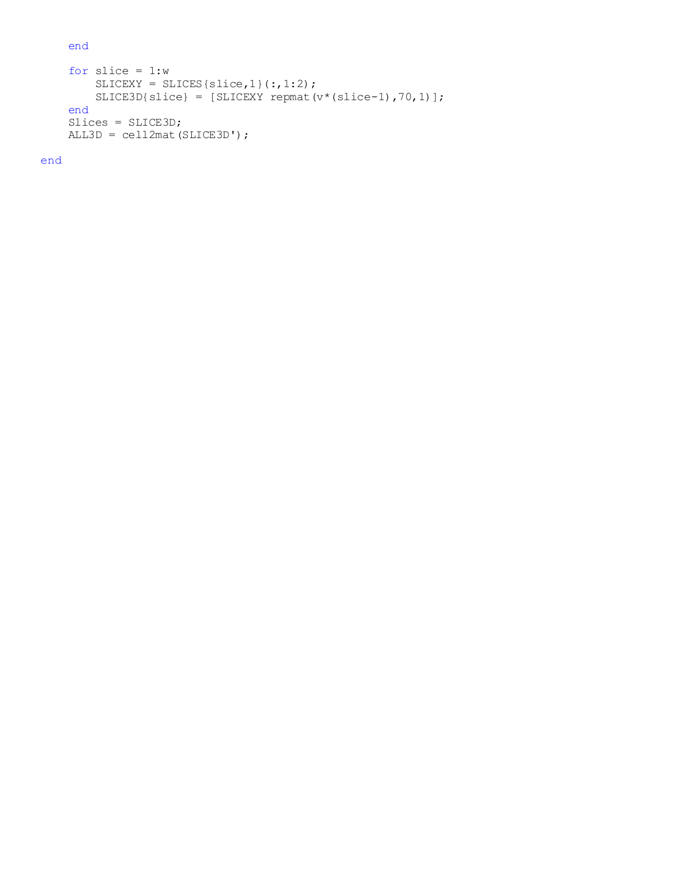end

```
for slice = 1:wSLICEXY = SLICES{slice,1}(:, 1:2); SLICE3D{slice} = [SLICEXY repmat(v*(slice-1),70,1)];
 end
 Slices = SLICE3D;
 ALL3D = cell2mat(SLICE3D');
```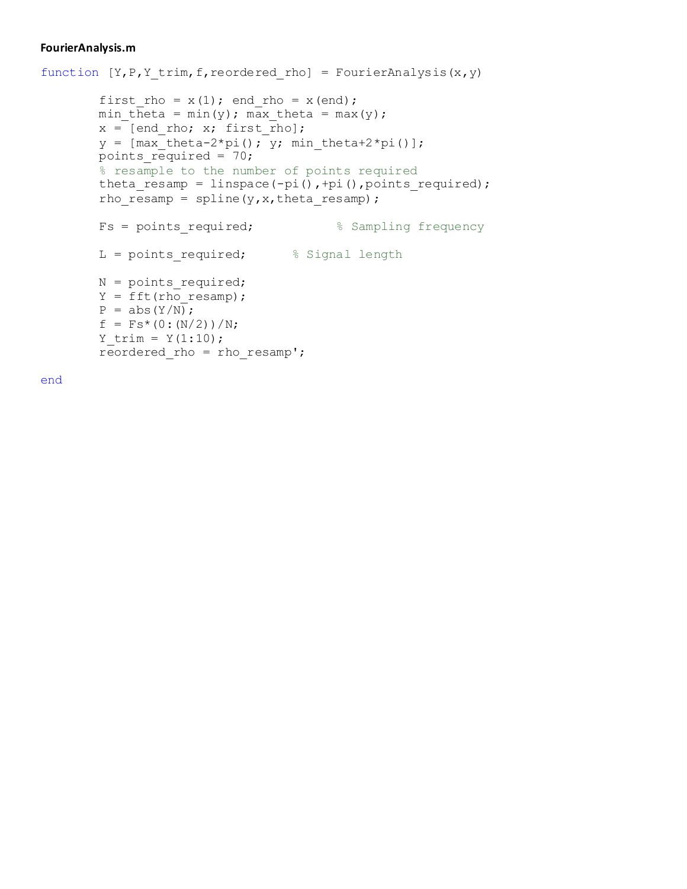#### **FourierAnalysis.m**

```
function [Y, P, Y \text{ trim}, f, \text{reordered rho}] = \text{FourierAnalysis}(x, y)first rho = x(1); end rho = x(end);
        min theta = min(y); max theta = max(y);
         x = [end rho; x; first rho];y = [max \left[\text{theta}-2*pi\right(); y; min \left[\text{theta}+2*pi\right()]\right];points required = 70;% resample to the number of points required
         theta_resamp = linspace(-pi(),+pi(),points_required);
         rho resamp = spline(y, x, theta resamp);
        Fs = points required; \frac{1}{3} Sampling frequency
        L = points required; \frac{1}{2} \frac{1}{2} Signal length
        N = points required;
         Y = fft(rho resamp);P = abs(Y/N);f = Fs * (0:(N/2)) / N;Y trim = Y(1:10);
        reordered rho = rhoesamp';
```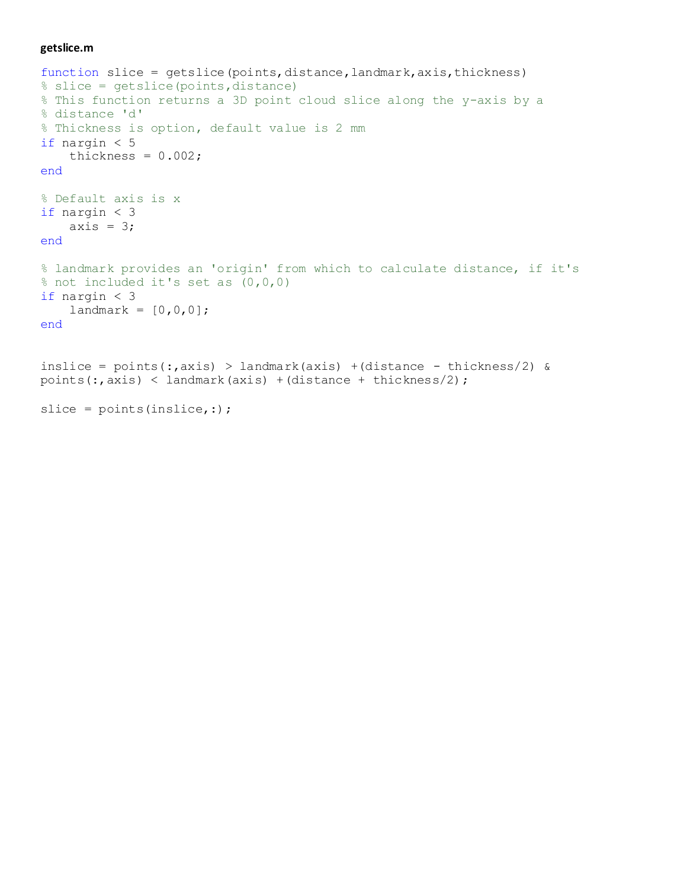#### **getslice.m**

```
function slice = getslice(points,distance,landmark,axis,thickness)
% slice = getslice(points,distance)
% This function returns a 3D point cloud slice along the y-axis by a
% distance 'd'
% Thickness is option, default value is 2 mm
if nargin < 5
    thickness = 0.002;
end
% Default axis is x
if nargin < 3
   axis = 3;end
% landmark provides an 'origin' from which to calculate distance, if it's
% not included it's set as (0,0,0)
if nargin < 3
    landmark = [0, 0, 0];end
inslice = points(:,axis) > landmark(axis) +(distance - thickness/2) &
points(:,axis) < landmark(axis) +(distance + thickness/2);
slice = points(inslice, :);
```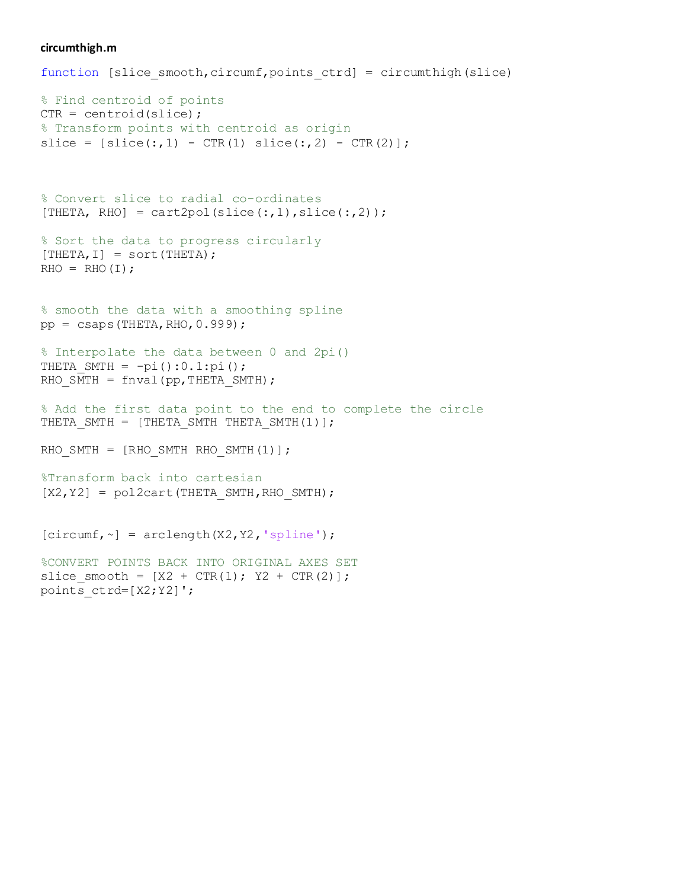#### **circumthigh.m**

```
function [slice smooth,circumf,points ctrd] = circumthigh(slice)
% Find centroid of points
CTR = centroid(slice);% Transform points with centroid as origin
slice = [slice(:,1) - CTR(1) slice(:,2) - CTR(2)];% Convert slice to radial co-ordinates
[THETA, RHO] = cart2pol(slice(:,1), slice(:,2));
% Sort the data to progress circularly
[THEN, I] = sort(THEN);RHO = RHO(I);% smooth the data with a smoothing spline
pp = \text{csaps}(\text{THETA}, \text{RHO}, 0.999);
% Interpolate the data between 0 and 2pi()
THETA SMTH = -pi():0.1:pi();RHO SMTH = fnval(pp, THETA SMTH);
% Add the first data point to the end to complete the circle
THETA SMTH = [THETA SMTH THETA SMTH(1)];
RHO SMTH = [RHO SMTH RHO SMTH(1)];
%Transform back into cartesian
[X2, Y2] = \text{pol2cart}(\text{THETA} \text{ SMTP}, \text{RHO} \text{ SMTP});[circumf, ~-] = arclength(X2, Y2, 'spline');
%CONVERT POINTS BACK INTO ORIGINAL AXES SET
slice smooth = [X2 + CTR(1); Y2 + CTR(2)];
```
points ctrd=[X2;Y2]';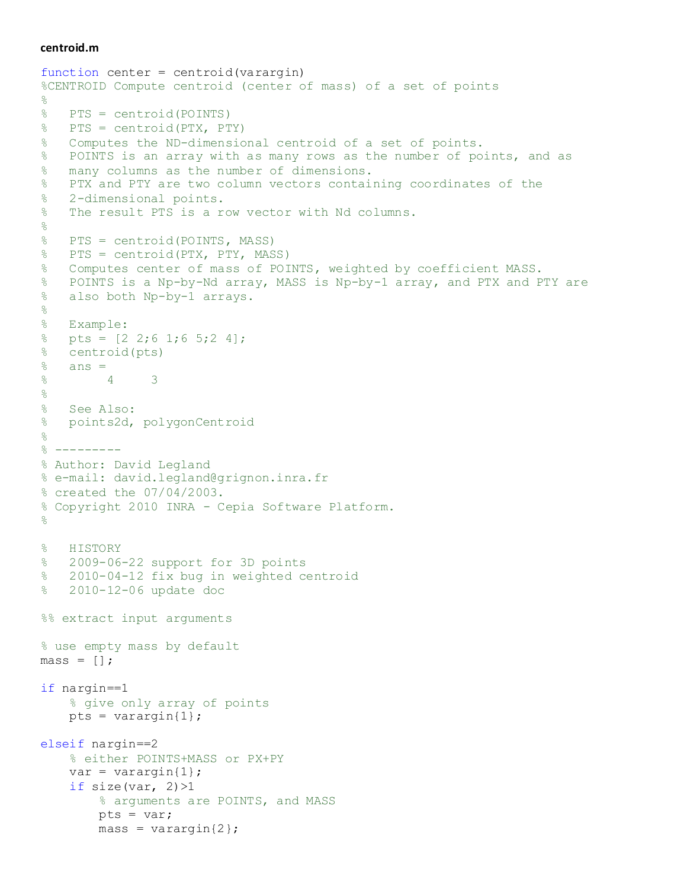#### **centroid.m**

```
function center = centroid(varargin)
%CENTROID Compute centroid (center of mass) of a set of points
\frac{8}{6}% PTS = centroid(POINTS)
% PTS = centroid(PTX, PTY)
% Computes the ND-dimensional centroid of a set of points. 
% POINTS is an array with as many rows as the number of points, and as
% many columns as the number of dimensions. 
% PTX and PTY are two column vectors containing coordinates of the
% 2-dimensional points.
% The result PTS is a row vector with Nd columns.
\approx% PTS = centroid(POINTS, MASS)
% PTS = centroid(PTX, PTY, MASS)
% Computes center of mass of POINTS, weighted by coefficient MASS.
% POINTS is a Np-by-Nd array, MASS is Np-by-1 array, and PTX and PTY are
% also both Np-by-1 arrays.
\frac{8}{\pi}% Example:
% pts = [2 2; 6 1; 6 5; 2 4];% centroid(pts)
\frac{6}{6} ans =
% 4 3
\frac{8}{6}% See Also:
% points2d, polygonCentroid
\approx\frac{8}{6} ---------
% Author: David Legland
% e-mail: david.legland@grignon.inra.fr
% created the 07/04/2003.
% Copyright 2010 INRA - Cepia Software Platform.
\frac{8}{2}% HISTORY
% 2009-06-22 support for 3D points
% 2010-04-12 fix bug in weighted centroid
% 2010-12-06 update doc
%% extract input arguments
% use empty mass by default
mass = [];
if nargin==1
     % give only array of points
    pts = varargin{1};elseif nargin==2
     % either POINTS+MASS or PX+PY
    var = varargin\{1\};if size(var, 2) >1
         % arguments are POINTS, and MASS
         pts = var;
        mass = varargin\{2\};
```